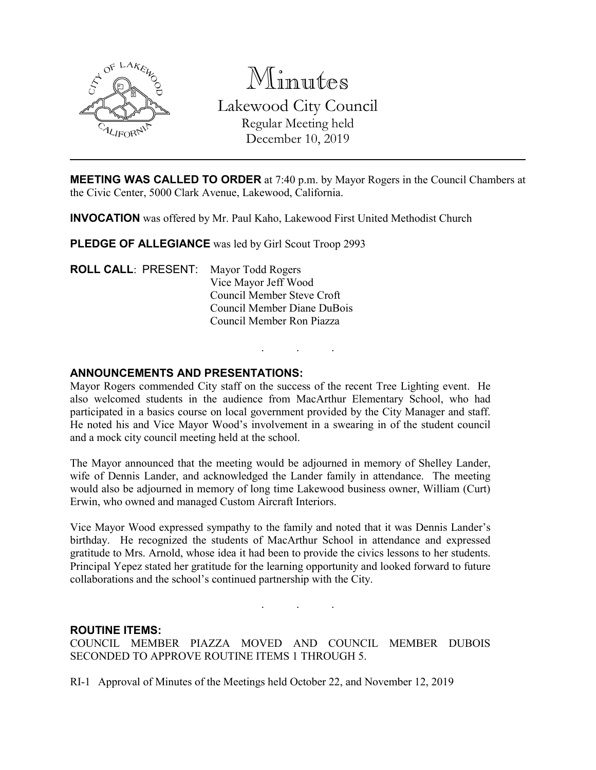

Minutes Lakewood City Council Regular Meeting held December 10, 2019

**MEETING WAS CALLED TO ORDER** at 7:40 p.m. by Mayor Rogers in the Council Chambers at the Civic Center, 5000 Clark Avenue, Lakewood, California.

**INVOCATION** was offered by Mr. Paul Kaho, Lakewood First United Methodist Church

PLEDGE OF ALLEGIANCE was led by Girl Scout Troop 2993

**ROLL CALL**: PRESENT: Mayor Todd Rogers Vice Mayor Jeff Wood Council Member Steve Croft Council Member Diane DuBois Council Member Ron Piazza

#### **ANNOUNCEMENTS AND PRESENTATIONS:**

Mayor Rogers commended City staff on the success of the recent Tree Lighting event. He also welcomed students in the audience from MacArthur Elementary School, who had participated in a basics course on local government provided by the City Manager and staff. He noted his and Vice Mayor Wood's involvement in a swearing in of the student council and a mock city council meeting held at the school.

. . .

The Mayor announced that the meeting would be adjourned in memory of Shelley Lander, wife of Dennis Lander, and acknowledged the Lander family in attendance. The meeting would also be adjourned in memory of long time Lakewood business owner, William (Curt) Erwin, who owned and managed Custom Aircraft Interiors.

Vice Mayor Wood expressed sympathy to the family and noted that it was Dennis Lander's birthday. He recognized the students of MacArthur School in attendance and expressed gratitude to Mrs. Arnold, whose idea it had been to provide the civics lessons to her students. Principal Yepez stated her gratitude for the learning opportunity and looked forward to future collaborations and the school's continued partnership with the City.

. . .

#### **ROUTINE ITEMS:**

COUNCIL MEMBER PIAZZA MOVED AND COUNCIL MEMBER DUBOIS SECONDED TO APPROVE ROUTINE ITEMS 1 THROUGH 5.

RI-1 Approval of Minutes of the Meetings held October 22, and November 12, 2019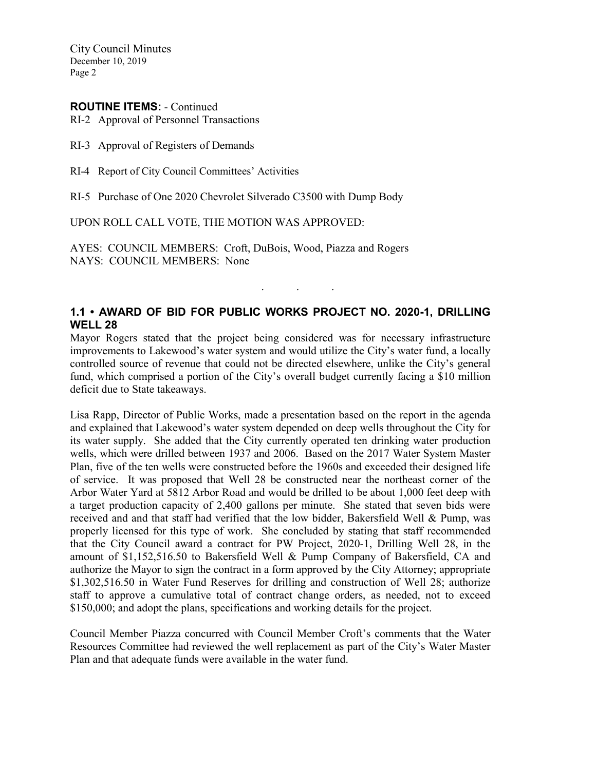#### **ROUTINE ITEMS:** - Continued

RI-2 Approval of Personnel Transactions

- RI-3 Approval of Registers of Demands
- RI-4 Report of City Council Committees' Activities
- RI-5 Purchase of One 2020 Chevrolet Silverado C3500 with Dump Body

UPON ROLL CALL VOTE, THE MOTION WAS APPROVED:

AYES: COUNCIL MEMBERS: Croft, DuBois, Wood, Piazza and Rogers NAYS: COUNCIL MEMBERS: None

# **1.1 • AWARD OF BID FOR PUBLIC WORKS PROJECT NO. 2020-1, DRILLING WELL 28**

. . .

Mayor Rogers stated that the project being considered was for necessary infrastructure improvements to Lakewood's water system and would utilize the City's water fund, a locally controlled source of revenue that could not be directed elsewhere, unlike the City's general fund, which comprised a portion of the City's overall budget currently facing a \$10 million deficit due to State takeaways.

Lisa Rapp, Director of Public Works, made a presentation based on the report in the agenda and explained that Lakewood's water system depended on deep wells throughout the City for its water supply. She added that the City currently operated ten drinking water production wells, which were drilled between 1937 and 2006. Based on the 2017 Water System Master Plan, five of the ten wells were constructed before the 1960s and exceeded their designed life of service. It was proposed that Well 28 be constructed near the northeast corner of the Arbor Water Yard at 5812 Arbor Road and would be drilled to be about 1,000 feet deep with a target production capacity of 2,400 gallons per minute. She stated that seven bids were received and and that staff had verified that the low bidder, Bakersfield Well & Pump, was properly licensed for this type of work. She concluded by stating that staff recommended that the City Council award a contract for PW Project, 2020-1, Drilling Well 28, in the amount of \$1,152,516.50 to Bakersfield Well & Pump Company of Bakersfield, CA and authorize the Mayor to sign the contract in a form approved by the City Attorney; appropriate \$1,302,516.50 in Water Fund Reserves for drilling and construction of Well 28; authorize staff to approve a cumulative total of contract change orders, as needed, not to exceed \$150,000; and adopt the plans, specifications and working details for the project.

Council Member Piazza concurred with Council Member Croft's comments that the Water Resources Committee had reviewed the well replacement as part of the City's Water Master Plan and that adequate funds were available in the water fund.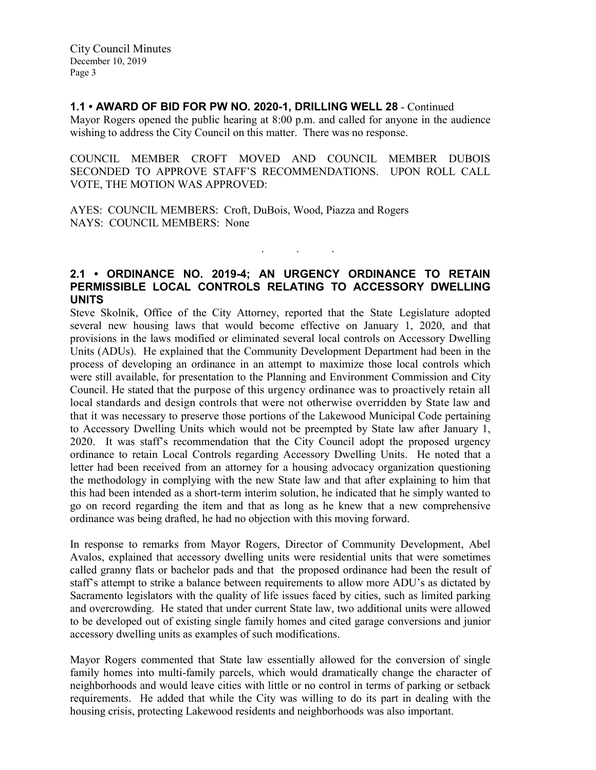## **1.1 • AWARD OF BID FOR PW NO. 2020-1, DRILLING WELL 28** - Continued

Mayor Rogers opened the public hearing at 8:00 p.m. and called for anyone in the audience wishing to address the City Council on this matter. There was no response.

COUNCIL MEMBER CROFT MOVED AND COUNCIL MEMBER DUBOIS SECONDED TO APPROVE STAFF'S RECOMMENDATIONS. UPON ROLL CALL VOTE, THE MOTION WAS APPROVED:

AYES: COUNCIL MEMBERS: Croft, DuBois, Wood, Piazza and Rogers NAYS: COUNCIL MEMBERS: None

## **2.1 • ORDINANCE NO. 2019-4; AN URGENCY ORDINANCE TO RETAIN PERMISSIBLE LOCAL CONTROLS RELATING TO ACCESSORY DWELLING UNITS**

. . .

Steve Skolnik, Office of the City Attorney, reported that the State Legislature adopted several new housing laws that would become effective on January 1, 2020, and that provisions in the laws modified or eliminated several local controls on Accessory Dwelling Units (ADUs). He explained that the Community Development Department had been in the process of developing an ordinance in an attempt to maximize those local controls which were still available, for presentation to the Planning and Environment Commission and City Council. He stated that the purpose of this urgency ordinance was to proactively retain all local standards and design controls that were not otherwise overridden by State law and that it was necessary to preserve those portions of the Lakewood Municipal Code pertaining to Accessory Dwelling Units which would not be preempted by State law after January 1, 2020. It was staff's recommendation that the City Council adopt the proposed urgency ordinance to retain Local Controls regarding Accessory Dwelling Units. He noted that a letter had been received from an attorney for a housing advocacy organization questioning the methodology in complying with the new State law and that after explaining to him that this had been intended as a short-term interim solution, he indicated that he simply wanted to go on record regarding the item and that as long as he knew that a new comprehensive ordinance was being drafted, he had no objection with this moving forward.

In response to remarks from Mayor Rogers, Director of Community Development, Abel Avalos, explained that accessory dwelling units were residential units that were sometimes called granny flats or bachelor pads and that the proposed ordinance had been the result of staff's attempt to strike a balance between requirements to allow more ADU's as dictated by Sacramento legislators with the quality of life issues faced by cities, such as limited parking and overcrowding. He stated that under current State law, two additional units were allowed to be developed out of existing single family homes and cited garage conversions and junior accessory dwelling units as examples of such modifications.

Mayor Rogers commented that State law essentially allowed for the conversion of single family homes into multi-family parcels, which would dramatically change the character of neighborhoods and would leave cities with little or no control in terms of parking or setback requirements. He added that while the City was willing to do its part in dealing with the housing crisis, protecting Lakewood residents and neighborhoods was also important.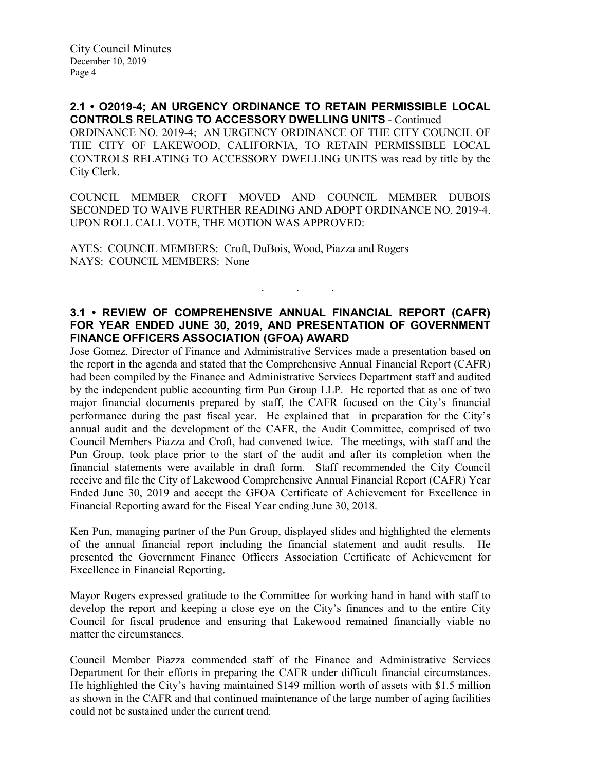**2.1 • O2019-4; AN URGENCY ORDINANCE TO RETAIN PERMISSIBLE LOCAL CONTROLS RELATING TO ACCESSORY DWELLING UNITS** - Continued ORDINANCE NO. 2019-4; AN URGENCY ORDINANCE OF THE CITY COUNCIL OF THE CITY OF LAKEWOOD, CALIFORNIA, TO RETAIN PERMISSIBLE LOCAL CONTROLS RELATING TO ACCESSORY DWELLING UNITS was read by title by the City Clerk.

COUNCIL MEMBER CROFT MOVED AND COUNCIL MEMBER DUBOIS SECONDED TO WAIVE FURTHER READING AND ADOPT ORDINANCE NO. 2019-4. UPON ROLL CALL VOTE, THE MOTION WAS APPROVED:

AYES: COUNCIL MEMBERS: Croft, DuBois, Wood, Piazza and Rogers NAYS: COUNCIL MEMBERS: None

## **3.1 • REVIEW OF COMPREHENSIVE ANNUAL FINANCIAL REPORT (CAFR) FOR YEAR ENDED JUNE 30, 2019, AND PRESENTATION OF GOVERNMENT FINANCE OFFICERS ASSOCIATION (GFOA) AWARD**

. . .

Jose Gomez, Director of Finance and Administrative Services made a presentation based on the report in the agenda and stated that the Comprehensive Annual Financial Report (CAFR) had been compiled by the Finance and Administrative Services Department staff and audited by the independent public accounting firm Pun Group LLP. He reported that as one of two major financial documents prepared by staff, the CAFR focused on the City's financial performance during the past fiscal year. He explained that in preparation for the City's annual audit and the development of the CAFR, the Audit Committee, comprised of two Council Members Piazza and Croft, had convened twice. The meetings, with staff and the Pun Group, took place prior to the start of the audit and after its completion when the financial statements were available in draft form. Staff recommended the City Council receive and file the City of Lakewood Comprehensive Annual Financial Report (CAFR) Year Ended June 30, 2019 and accept the GFOA Certificate of Achievement for Excellence in Financial Reporting award for the Fiscal Year ending June 30, 2018.

Ken Pun, managing partner of the Pun Group, displayed slides and highlighted the elements of the annual financial report including the financial statement and audit results. He presented the Government Finance Officers Association Certificate of Achievement for Excellence in Financial Reporting.

Mayor Rogers expressed gratitude to the Committee for working hand in hand with staff to develop the report and keeping a close eye on the City's finances and to the entire City Council for fiscal prudence and ensuring that Lakewood remained financially viable no matter the circumstances.

Council Member Piazza commended staff of the Finance and Administrative Services Department for their efforts in preparing the CAFR under difficult financial circumstances. He highlighted the City's having maintained \$149 million worth of assets with \$1.5 million as shown in the CAFR and that continued maintenance of the large number of aging facilities could not be sustained under the current trend.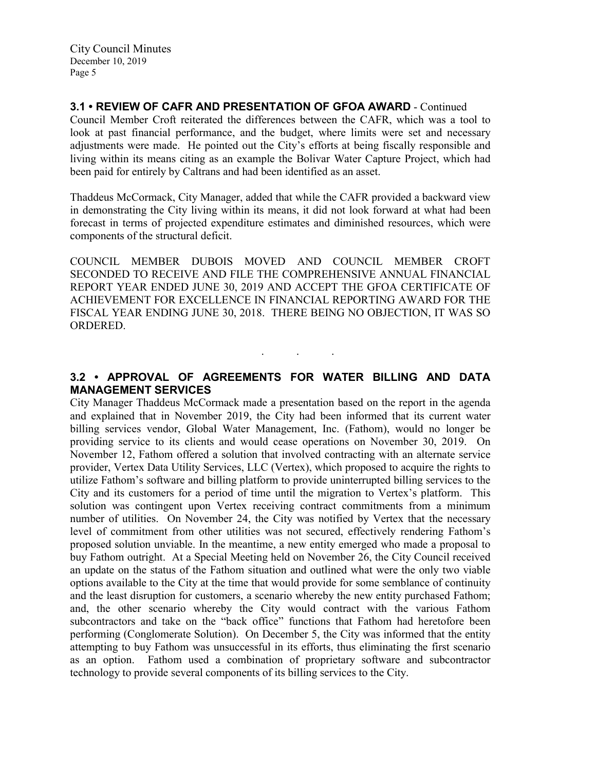# **3.1 • REVIEW OF CAFR AND PRESENTATION OF GFOA AWARD** - Continued

Council Member Croft reiterated the differences between the CAFR, which was a tool to look at past financial performance, and the budget, where limits were set and necessary adjustments were made. He pointed out the City's efforts at being fiscally responsible and living within its means citing as an example the Bolivar Water Capture Project, which had been paid for entirely by Caltrans and had been identified as an asset.

Thaddeus McCormack, City Manager, added that while the CAFR provided a backward view in demonstrating the City living within its means, it did not look forward at what had been forecast in terms of projected expenditure estimates and diminished resources, which were components of the structural deficit.

COUNCIL MEMBER DUBOIS MOVED AND COUNCIL MEMBER CROFT SECONDED TO RECEIVE AND FILE THE COMPREHENSIVE ANNUAL FINANCIAL REPORT YEAR ENDED JUNE 30, 2019 AND ACCEPT THE GFOA CERTIFICATE OF ACHIEVEMENT FOR EXCELLENCE IN FINANCIAL REPORTING AWARD FOR THE FISCAL YEAR ENDING JUNE 30, 2018. THERE BEING NO OBJECTION, IT WAS SO ORDERED.

# **3.2 • APPROVAL OF AGREEMENTS FOR WATER BILLING AND DATA MANAGEMENT SERVICES**

. . .

City Manager Thaddeus McCormack made a presentation based on the report in the agenda and explained that in November 2019, the City had been informed that its current water billing services vendor, Global Water Management, Inc. (Fathom), would no longer be providing service to its clients and would cease operations on November 30, 2019. On November 12, Fathom offered a solution that involved contracting with an alternate service provider, Vertex Data Utility Services, LLC (Vertex), which proposed to acquire the rights to utilize Fathom's software and billing platform to provide uninterrupted billing services to the City and its customers for a period of time until the migration to Vertex's platform. This solution was contingent upon Vertex receiving contract commitments from a minimum number of utilities. On November 24, the City was notified by Vertex that the necessary level of commitment from other utilities was not secured, effectively rendering Fathom's proposed solution unviable. In the meantime, a new entity emerged who made a proposal to buy Fathom outright. At a Special Meeting held on November 26, the City Council received an update on the status of the Fathom situation and outlined what were the only two viable options available to the City at the time that would provide for some semblance of continuity and the least disruption for customers, a scenario whereby the new entity purchased Fathom; and, the other scenario whereby the City would contract with the various Fathom subcontractors and take on the "back office" functions that Fathom had heretofore been performing (Conglomerate Solution). On December 5, the City was informed that the entity attempting to buy Fathom was unsuccessful in its efforts, thus eliminating the first scenario as an option. Fathom used a combination of proprietary software and subcontractor technology to provide several components of its billing services to the City.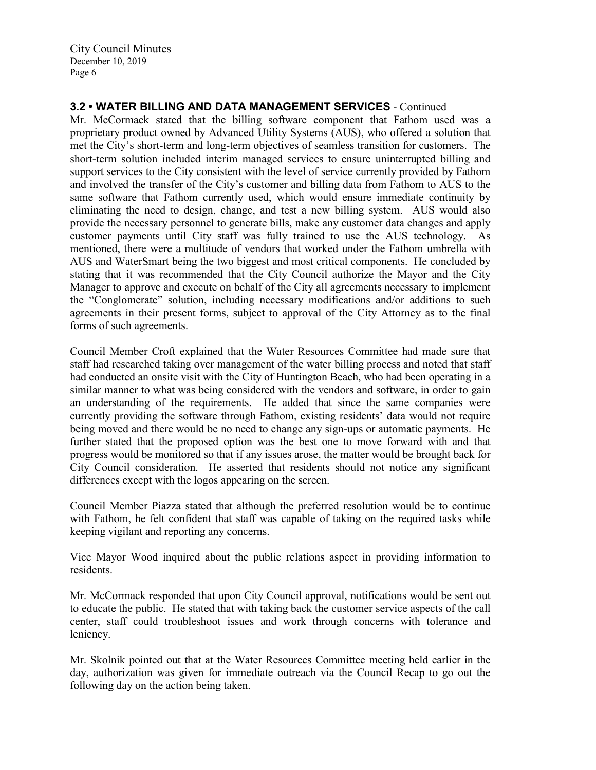# **3.2 • WATER BILLING AND DATA MANAGEMENT SERVICES** - Continued

Mr. McCormack stated that the billing software component that Fathom used was a proprietary product owned by Advanced Utility Systems (AUS), who offered a solution that met the City's short-term and long-term objectives of seamless transition for customers. The short-term solution included interim managed services to ensure uninterrupted billing and support services to the City consistent with the level of service currently provided by Fathom and involved the transfer of the City's customer and billing data from Fathom to AUS to the same software that Fathom currently used, which would ensure immediate continuity by eliminating the need to design, change, and test a new billing system. AUS would also provide the necessary personnel to generate bills, make any customer data changes and apply customer payments until City staff was fully trained to use the AUS technology. As mentioned, there were a multitude of vendors that worked under the Fathom umbrella with AUS and WaterSmart being the two biggest and most critical components. He concluded by stating that it was recommended that the City Council authorize the Mayor and the City Manager to approve and execute on behalf of the City all agreements necessary to implement the "Conglomerate" solution, including necessary modifications and/or additions to such agreements in their present forms, subject to approval of the City Attorney as to the final forms of such agreements.

Council Member Croft explained that the Water Resources Committee had made sure that staff had researched taking over management of the water billing process and noted that staff had conducted an onsite visit with the City of Huntington Beach, who had been operating in a similar manner to what was being considered with the vendors and software, in order to gain an understanding of the requirements. He added that since the same companies were currently providing the software through Fathom, existing residents' data would not require being moved and there would be no need to change any sign-ups or automatic payments. He further stated that the proposed option was the best one to move forward with and that progress would be monitored so that if any issues arose, the matter would be brought back for City Council consideration. He asserted that residents should not notice any significant differences except with the logos appearing on the screen.

Council Member Piazza stated that although the preferred resolution would be to continue with Fathom, he felt confident that staff was capable of taking on the required tasks while keeping vigilant and reporting any concerns.

Vice Mayor Wood inquired about the public relations aspect in providing information to residents.

Mr. McCormack responded that upon City Council approval, notifications would be sent out to educate the public. He stated that with taking back the customer service aspects of the call center, staff could troubleshoot issues and work through concerns with tolerance and leniency.

Mr. Skolnik pointed out that at the Water Resources Committee meeting held earlier in the day, authorization was given for immediate outreach via the Council Recap to go out the following day on the action being taken.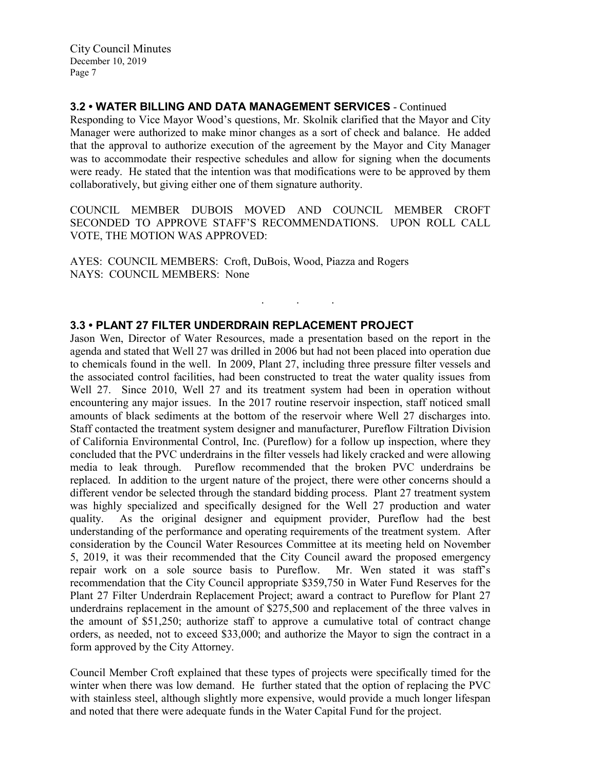# **3.2 • WATER BILLING AND DATA MANAGEMENT SERVICES** - Continued

Responding to Vice Mayor Wood's questions, Mr. Skolnik clarified that the Mayor and City Manager were authorized to make minor changes as a sort of check and balance. He added that the approval to authorize execution of the agreement by the Mayor and City Manager was to accommodate their respective schedules and allow for signing when the documents were ready. He stated that the intention was that modifications were to be approved by them collaboratively, but giving either one of them signature authority.

COUNCIL MEMBER DUBOIS MOVED AND COUNCIL MEMBER CROFT SECONDED TO APPROVE STAFF'S RECOMMENDATIONS. UPON ROLL CALL VOTE, THE MOTION WAS APPROVED:

. . .

AYES: COUNCIL MEMBERS: Croft, DuBois, Wood, Piazza and Rogers NAYS: COUNCIL MEMBERS: None

### **3.3 • PLANT 27 FILTER UNDERDRAIN REPLACEMENT PROJECT**

Jason Wen, Director of Water Resources, made a presentation based on the report in the agenda and stated that Well 27 was drilled in 2006 but had not been placed into operation due to chemicals found in the well. In 2009, Plant 27, including three pressure filter vessels and the associated control facilities, had been constructed to treat the water quality issues from Well 27. Since 2010, Well 27 and its treatment system had been in operation without encountering any major issues. In the 2017 routine reservoir inspection, staff noticed small amounts of black sediments at the bottom of the reservoir where Well 27 discharges into. Staff contacted the treatment system designer and manufacturer, Pureflow Filtration Division of California Environmental Control, Inc. (Pureflow) for a follow up inspection, where they concluded that the PVC underdrains in the filter vessels had likely cracked and were allowing media to leak through. Pureflow recommended that the broken PVC underdrains be replaced. In addition to the urgent nature of the project, there were other concerns should a different vendor be selected through the standard bidding process. Plant 27 treatment system was highly specialized and specifically designed for the Well 27 production and water quality. As the original designer and equipment provider, Pureflow had the best understanding of the performance and operating requirements of the treatment system. After consideration by the Council Water Resources Committee at its meeting held on November 5, 2019, it was their recommended that the City Council award the proposed emergency repair work on a sole source basis to Pureflow. Mr. Wen stated it was staff's recommendation that the City Council appropriate \$359,750 in Water Fund Reserves for the Plant 27 Filter Underdrain Replacement Project; award a contract to Pureflow for Plant 27 underdrains replacement in the amount of \$275,500 and replacement of the three valves in the amount of \$51,250; authorize staff to approve a cumulative total of contract change orders, as needed, not to exceed \$33,000; and authorize the Mayor to sign the contract in a form approved by the City Attorney.

Council Member Croft explained that these types of projects were specifically timed for the winter when there was low demand. He further stated that the option of replacing the PVC with stainless steel, although slightly more expensive, would provide a much longer lifespan and noted that there were adequate funds in the Water Capital Fund for the project.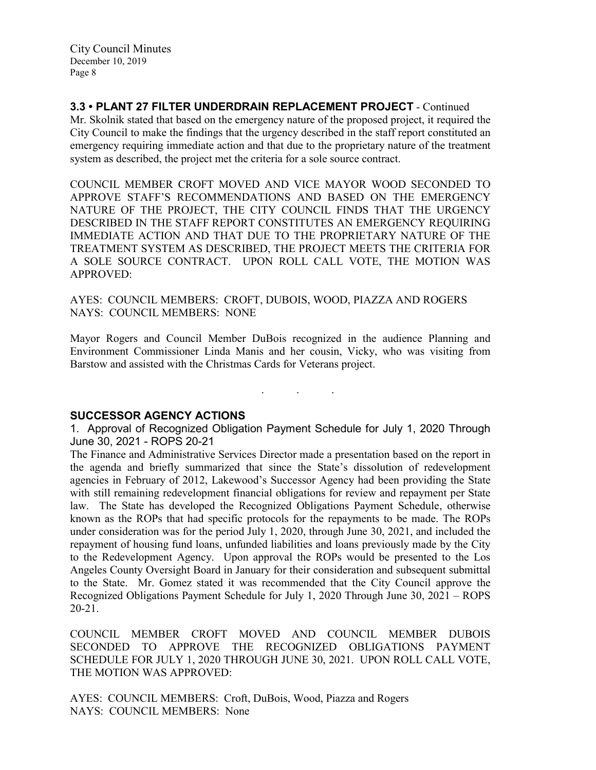**3.3 • PLANT 27 FILTER UNDERDRAIN REPLACEMENT PROJECT** - Continued Mr. Skolnik stated that based on the emergency nature of the proposed project, it required the City Council to make the findings that the urgency described in the staff report constituted an emergency requiring immediate action and that due to the proprietary nature of the treatment system as described, the project met the criteria for a sole source contract.

COUNCIL MEMBER CROFT MOVED AND VICE MAYOR WOOD SECONDED TO APPROVE STAFF'S RECOMMENDATIONS AND BASED ON THE EMERGENCY NATURE OF THE PROJECT, THE CITY COUNCIL FINDS THAT THE URGENCY DESCRIBED IN THE STAFF REPORT CONSTITUTES AN EMERGENCY REQUIRING IMMEDIATE ACTION AND THAT DUE TO THE PROPRIETARY NATURE OF THE TREATMENT SYSTEM AS DESCRIBED, THE PROJECT MEETS THE CRITERIA FOR A SOLE SOURCE CONTRACT. UPON ROLL CALL VOTE, THE MOTION WAS APPROVED:

AYES: COUNCIL MEMBERS: CROFT, DUBOIS, WOOD, PIAZZA AND ROGERS NAYS: COUNCIL MEMBERS: NONE

Mayor Rogers and Council Member DuBois recognized in the audience Planning and Environment Commissioner Linda Manis and her cousin, Vicky, who was visiting from Barstow and assisted with the Christmas Cards for Veterans project.

. . .

### **SUCCESSOR AGENCY ACTIONS**

1. Approval of Recognized Obligation Payment Schedule for July 1, 2020 Through June 30, 2021 - ROPS 20-21

The Finance and Administrative Services Director made a presentation based on the report in the agenda and briefly summarized that since the State's dissolution of redevelopment agencies in February of 2012, Lakewood's Successor Agency had been providing the State with still remaining redevelopment financial obligations for review and repayment per State law. The State has developed the Recognized Obligations Payment Schedule, otherwise known as the ROPs that had specific protocols for the repayments to be made. The ROPs under consideration was for the period July 1, 2020, through June 30, 2021, and included the repayment of housing fund loans, unfunded liabilities and loans previously made by the City to the Redevelopment Agency. Upon approval the ROPs would be presented to the Los Angeles County Oversight Board in January for their consideration and subsequent submittal to the State. Mr. Gomez stated it was recommended that the City Council approve the Recognized Obligations Payment Schedule for July 1, 2020 Through June 30, 2021 – ROPS 20-21.

COUNCIL MEMBER CROFT MOVED AND COUNCIL MEMBER DUBOIS SECONDED TO APPROVE THE RECOGNIZED OBLIGATIONS PAYMENT SCHEDULE FOR JULY 1, 2020 THROUGH JUNE 30, 2021. UPON ROLL CALL VOTE, THE MOTION WAS APPROVED:

AYES: COUNCIL MEMBERS: Croft, DuBois, Wood, Piazza and Rogers NAYS: COUNCIL MEMBERS: None